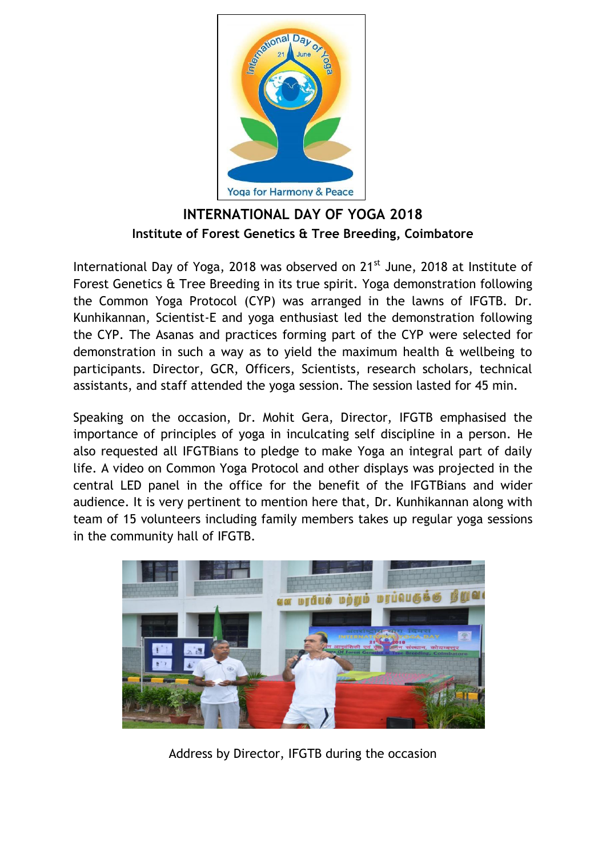

**INTERNATIONAL DAY OF YOGA 2018 Institute of Forest Genetics & Tree Breeding, Coimbatore**

International Day of Yoga, 2018 was observed on 21<sup>st</sup> June, 2018 at Institute of Forest Genetics & Tree Breeding in its true spirit. Yoga demonstration following the Common Yoga Protocol (CYP) was arranged in the lawns of IFGTB. Dr. Kunhikannan, Scientist-E and yoga enthusiast led the demonstration following the CYP. The Asanas and practices forming part of the CYP were selected for demonstration in such a way as to yield the maximum health & wellbeing to participants. Director, GCR, Officers, Scientists, research scholars, technical assistants, and staff attended the yoga session. The session lasted for 45 min.

Speaking on the occasion, Dr. Mohit Gera, Director, IFGTB emphasised the importance of principles of yoga in inculcating self discipline in a person. He also requested all IFGTBians to pledge to make Yoga an integral part of daily life. A video on Common Yoga Protocol and other displays was projected in the central LED panel in the office for the benefit of the IFGTBians and wider audience. It is very pertinent to mention here that, Dr. Kunhikannan along with team of 15 volunteers including family members takes up regular yoga sessions in the community hall of IFGTB.



Address by Director, IFGTB during the occasion